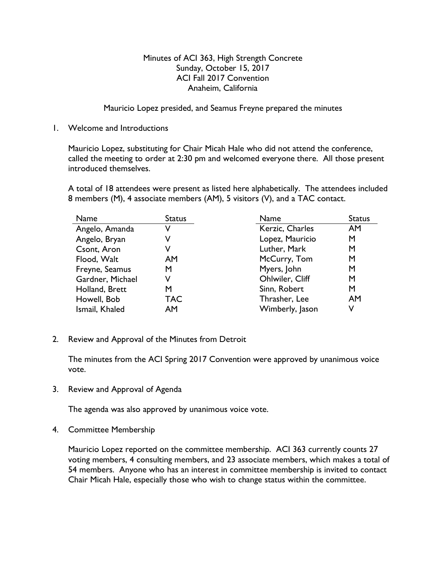## Minutes of ACI 363, High Strength Concrete Sunday, October 15, 2017 ACI Fall 2017 Convention Anaheim, California

Mauricio Lopez presided, and Seamus Freyne prepared the minutes

1. Welcome and Introductions

Mauricio Lopez, substituting for Chair Micah Hale who did not attend the conference, called the meeting to order at 2:30 pm and welcomed everyone there. All those present introduced themselves.

A total of 18 attendees were present as listed here alphabetically. The attendees included 8 members (M), 4 associate members (AM), 5 visitors (V), and a TAC contact.

| Name             | <b>Status</b> | Name            | <b>Status</b> |
|------------------|---------------|-----------------|---------------|
| Angelo, Amanda   |               | Kerzic, Charles | <b>AM</b>     |
| Angelo, Bryan    |               | Lopez, Mauricio | М             |
| Csont, Aron      |               | Luther, Mark    | M             |
| Flood, Walt      | AM            | McCurry, Tom    | M             |
| Freyne, Seamus   | M             | Myers, John     | М             |
| Gardner, Michael | V             | Ohlwiler, Cliff | М             |
| Holland, Brett   | М             | Sinn, Robert    | М             |
| Howell, Bob      | <b>TAC</b>    | Thrasher, Lee   | <b>AM</b>     |
| Ismail, Khaled   | AM            | Wimberly, Jason | V             |

2. Review and Approval of the Minutes from Detroit

The minutes from the ACI Spring 2017 Convention were approved by unanimous voice vote.

3. Review and Approval of Agenda

The agenda was also approved by unanimous voice vote.

4. Committee Membership

Mauricio Lopez reported on the committee membership. ACI 363 currently counts 27 voting members, 4 consulting members, and 23 associate members, which makes a total of 54 members. Anyone who has an interest in committee membership is invited to contact Chair Micah Hale, especially those who wish to change status within the committee.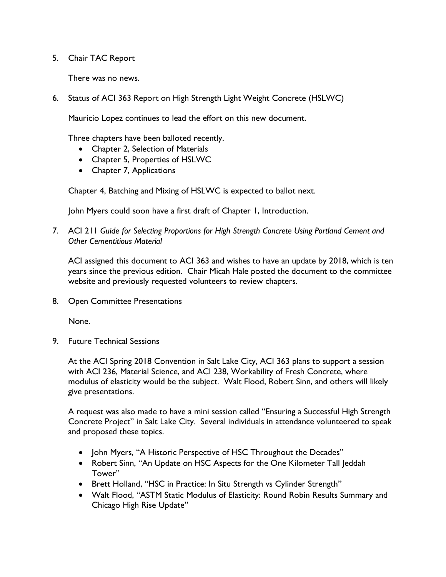5. Chair TAC Report

There was no news.

6. Status of ACI 363 Report on High Strength Light Weight Concrete (HSLWC)

Mauricio Lopez continues to lead the effort on this new document.

Three chapters have been balloted recently.

- Chapter 2, Selection of Materials
- Chapter 5, Properties of HSLWC
- Chapter 7, Applications

Chapter 4, Batching and Mixing of HSLWC is expected to ballot next.

John Myers could soon have a first draft of Chapter 1, Introduction.

7. ACI 211 *Guide for Selecting Proportions for High Strength Concrete Using Portland Cement and Other Cementitious Material*

ACI assigned this document to ACI 363 and wishes to have an update by 2018, which is ten years since the previous edition. Chair Micah Hale posted the document to the committee website and previously requested volunteers to review chapters.

8. Open Committee Presentations

None.

9. Future Technical Sessions

At the ACI Spring 2018 Convention in Salt Lake City, ACI 363 plans to support a session with ACI 236, Material Science, and ACI 238, Workability of Fresh Concrete, where modulus of elasticity would be the subject. Walt Flood, Robert Sinn, and others will likely give presentations.

A request was also made to have a mini session called "Ensuring a Successful High Strength Concrete Project" in Salt Lake City. Several individuals in attendance volunteered to speak and proposed these topics.

- John Myers, "A Historic Perspective of HSC Throughout the Decades"
- Robert Sinn, "An Update on HSC Aspects for the One Kilometer Tall Jeddah Tower"
- Brett Holland, "HSC in Practice: In Situ Strength vs Cylinder Strength"
- Walt Flood, "ASTM Static Modulus of Elasticity: Round Robin Results Summary and Chicago High Rise Update"